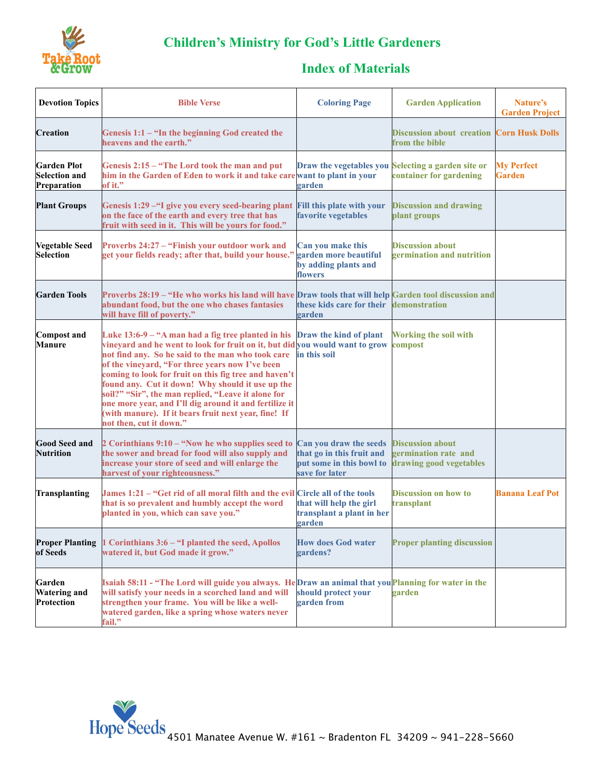

## **Children's Ministry for God's Little Gardeners**

## **Index of Materials**

| <b>Devotion Topics</b>                                    | <b>Bible Verse</b>                                                                                                                                                                                                                                                                                                                                                                                                                                                                                                                                         | <b>Coloring Page</b>                                                                              | <b>Garden Application</b>                                                  | Nature's<br><b>Garden Project</b>  |
|-----------------------------------------------------------|------------------------------------------------------------------------------------------------------------------------------------------------------------------------------------------------------------------------------------------------------------------------------------------------------------------------------------------------------------------------------------------------------------------------------------------------------------------------------------------------------------------------------------------------------------|---------------------------------------------------------------------------------------------------|----------------------------------------------------------------------------|------------------------------------|
| <b>Creation</b>                                           | Genesis $1:1 -$ "In the beginning God created the<br>heavens and the earth."                                                                                                                                                                                                                                                                                                                                                                                                                                                                               |                                                                                                   | <b>Discussion about creation</b><br>from the bible                         | <b>Corn Husk Dolls</b>             |
| <b>Garden Plot</b><br><b>Selection and</b><br>Preparation | Genesis 2:15 – "The Lord took the man and put<br>him in the Garden of Eden to work it and take carewant to plant in your<br>of it."                                                                                                                                                                                                                                                                                                                                                                                                                        | Draw the vegetables you<br>garden                                                                 | Selecting a garden site or<br>container for gardening                      | <b>My Perfect</b><br><b>Garden</b> |
| <b>Plant Groups</b>                                       | Genesis 1:29 - "I give you every seed-bearing plant<br>on the face of the earth and every tree that has<br>fruit with seed in it. This will be yours for food."                                                                                                                                                                                                                                                                                                                                                                                            | <b>Fill this plate with your</b><br>favorite vegetables                                           | <b>Discussion and drawing</b><br>plant groups                              |                                    |
| Vegetable Seed<br><b>Selection</b>                        | Proverbs 24:27 - "Finish your outdoor work and<br>get your fields ready; after that, build your house."                                                                                                                                                                                                                                                                                                                                                                                                                                                    | Can you make this<br>garden more beautiful<br>by adding plants and<br>flowers                     | <b>Discussion about</b><br>germination and nutrition                       |                                    |
| <b>Garden Tools</b>                                       | Proverbs 28:19 – "He who works his land will have Draw tools that will help Garden tool discussion and<br>abundant food, but the one who chases fantasies<br>will have fill of poverty."                                                                                                                                                                                                                                                                                                                                                                   | these kids care for their<br>garden                                                               | demonstration                                                              |                                    |
| <b>Compost and</b><br><b>Manure</b>                       | Luke 13:6-9 – "A man had a fig tree planted in his<br>vineyard and he went to look for fruit on it, but did you would want to grow<br>not find any. So he said to the man who took care<br>of the vineyard, "For three years now I've been<br>coming to look for fruit on this fig tree and haven't<br>found any. Cut it down! Why should it use up the<br>soil?" "Sir", the man replied, "Leave it alone for<br>one more year, and I'll dig around it and fertilize it<br>(with manure). If it bears fruit next year, fine! If<br>not then, cut it down." | Draw the kind of plant<br>in this soil                                                            | <b>Working the soil with</b><br>compost                                    |                                    |
| <b>Good Seed and</b><br><b>Nutrition</b>                  | 2 Corinthians 9:10 - "Now he who supplies seed to<br>the sower and bread for food will also supply and<br>increase your store of seed and will enlarge the<br>harvest of your righteousness."                                                                                                                                                                                                                                                                                                                                                              | Can you draw the seeds<br>that go in this fruit and<br>put some in this bowl to<br>save for later | <b>Discussion about</b><br>germination rate and<br>drawing good vegetables |                                    |
| Transplanting                                             | James 1:21 – "Get rid of all moral filth and the evil Circle all of the tools<br>that is so prevalent and humbly accept the word<br>planted in you, which can save you."                                                                                                                                                                                                                                                                                                                                                                                   | that will help the girl<br>transplant a plant in her<br>garden                                    | <b>Discussion on how to</b><br>transplant                                  | <b>Banana Leaf Pot</b>             |
| <b>Proper Planting</b><br>of Seeds                        | 1 Corinthians 3:6 - "I planted the seed, Apollos<br>watered it, but God made it grow."                                                                                                                                                                                                                                                                                                                                                                                                                                                                     | <b>How does God water</b><br>gardens?                                                             | <b>Proper planting discussion</b>                                          |                                    |
| Garden<br><b>Watering and</b><br>Protection               | Isaiah 58:11 - "The Lord will guide you always. HeDraw an animal that you Planning for water in the<br>will satisfy your needs in a scorched land and will<br>strengthen your frame. You will be like a well-<br>watered garden, like a spring whose waters never<br>fail."                                                                                                                                                                                                                                                                                | should protect your<br>garden from                                                                | garden                                                                     |                                    |